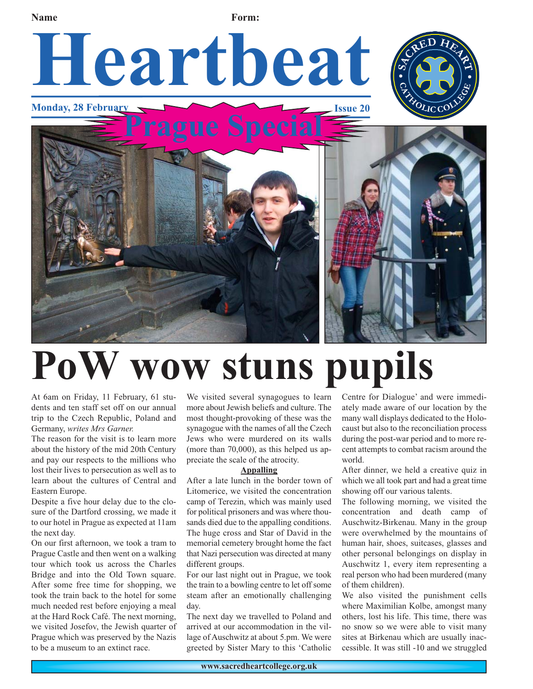

## **PoW wow stuns pupils**

At 6am on Friday, 11 February, 61 students and ten staff set off on our annual trip to the Czech Republic, Poland and Germany, *writes Mrs Garner.*

The reason for the visit is to learn more about the history of the mid 20th Century and pay our respects to the millions who lost their lives to persecution as well as to learn about the cultures of Central and Eastern Europe.

Despite a five hour delay due to the closure of the Dartford crossing, we made it to our hotel in Prague as expected at 11am the next day.

On our first afternoon, we took a tram to Prague Castle and then went on a walking tour which took us across the Charles Bridge and into the Old Town square. After some free time for shopping, we took the train back to the hotel for some much needed rest before enjoying a meal at the Hard Rock Café. The next morning, we visited Josefov, the Jewish quarter of Prague which was preserved by the Nazis to be a museum to an extinct race.

We visited several synagogues to learn more about Jewish beliefs and culture. The most thought-provoking of these was the synagogue with the names of all the Czech Jews who were murdered on its walls (more than 70,000), as this helped us appreciate the scale of the atrocity.

#### **Appalling**

After a late lunch in the border town of Litomerice, we visited the concentration camp of Terezin, which was mainly used for political prisoners and was where thousands died due to the appalling conditions. The huge cross and Star of David in the memorial cemetery brought home the fact that Nazi persecution was directed at many different groups.

For our last night out in Prague, we took the train to a bowling centre to let off some steam after an emotionally challenging day.

The next day we travelled to Poland and arrived at our accommodation in the village of Auschwitz at about 5.pm. We were greeted by Sister Mary to this 'Catholic

Centre for Dialogue' and were immediately made aware of our location by the many wall displays dedicated to the Holocaust but also to the reconciliation process during the post-war period and to more recent attempts to combat racism around the world.

After dinner, we held a creative quiz in which we all took part and had a great time showing off our various talents.

The following morning, we visited the concentration and death camp of Auschwitz-Birkenau. Many in the group were overwhelmed by the mountains of human hair, shoes, suitcases, glasses and other personal belongings on display in Auschwitz 1, every item representing a real person who had been murdered (many of them children).

We also visited the punishment cells where Maximilian Kolbe, amongst many others, lost his life. This time, there was no snow so we were able to visit many sites at Birkenau which are usually inaccessible. It was still -10 and we struggled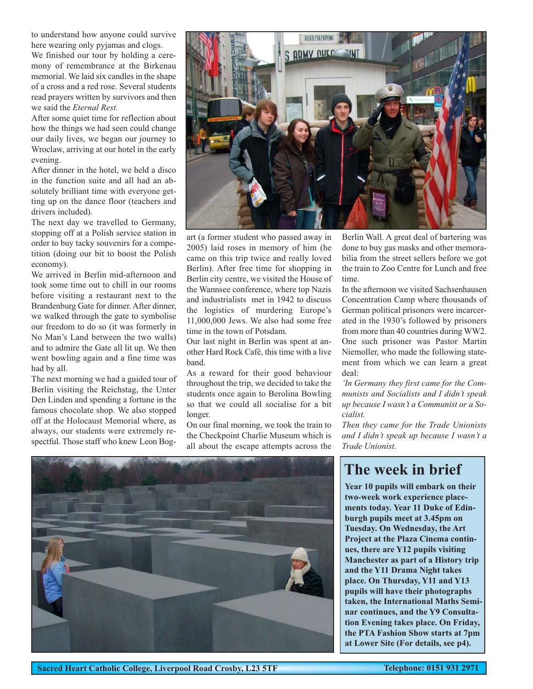to understand how anyone could survive here wearing only pyjamas and clogs.

We finished our tour by holding a ceremony of remembrance at the Birkenau memorial. We laid six candles in the shape of a cross and a red rose. Several students read prayers written by survivors and then we said the *Eternal Rest.*

After some quiet time for reflection about how the things we had seen could change our daily lives, we began our journey to Wroclaw, arriving at our hotel in the early evening.

After dinner in the hotel, we held a disco in the function suite and all had an absolutely brilliant time with everyone getting up on the dance floor (teachers and drivers included).

The next day we travelled to Germany, stopping off at a Polish service station in order to buy tacky souvenirs for a competition (doing our bit to boost the Polish economy).

We arrived in Berlin mid-afternoon and took some time out to chill in our rooms before visiting a restaurant next to the Brandenburg Gate for dinner. After dinner, we walked through the gate to symbolise our freedom to do so (it was formerly in No Man's Land between the two walls) and to admire the Gate all lit up. We then went bowling again and a fine time was had by all.

The next morning we had a guided tour of Berlin visiting the Reichstag, the Unter Den Linden and spending a fortune in the famous chocolate shop. We also stopped off at the Holocaust Memorial where, as always, our students were extremely respectful. Those staff who knew Leon Bog-



art (a former student who passed away in 2005) laid roses in memory of him (he came on this trip twice and really loved Berlin). After free time for shopping in Berlin city centre, we visited the House of the Wannsee conference, where top Nazis and industrialists met in 1942 to discuss the logistics of murdering Europe's 11,000,000 Jews. We also had some free time in the town of Potsdam.

Our last night in Berlin was spent at another Hard Rock Café, this time with a live band.

As a reward for their good behaviour throughout the trip, we decided to take the students once again to Berolina Bowling so that we could all socialise for a bit longer.

On our final morning, we took the train to the Checkpoint Charlie Museum which is all about the escape attempts across the

Berlin Wall. A great deal of bartering was done to buy gas masks and other memorabilia from the street sellers before we got the train to Zoo Centre for Lunch and free time.

In the afternoon we visited Sachsenhausen Concentration Camp where thousands of German political prisoners were incarcerated in the 1930's followed by prisoners from more than 40 countries during WW2. One such prisoner was Pastor Martin Niemoller, who made the following statement from which we can learn a great deal:

*'In Germany they first came for the Communists and Socialists and I didn't speak up because I wasn't a Communist or a Socialist.*

*Then they came for the Trade Unionists and I didn't speak up because I wasn't a Trade Unionist.* 



## **The week in brief**

**Year 10 pupils will embark on their two-week work experience placements today. Year 11 Duke of Edinburgh pupils meet at 3.45pm on Tuesday. On Wednesday, the Art Project at the Plaza Cinema continues, there are Y12 pupils visiting Manchester as part of a History trip and the Y11 Drama Night takes place. On Thursday, Y11 and Y13 pupils will have their photographs taken, the International Maths Seminar continues, and the Y9 Consultation Evening takes place. On Friday, the PTA Fashion Show starts at 7pm at Lower Site (For details, see p4).**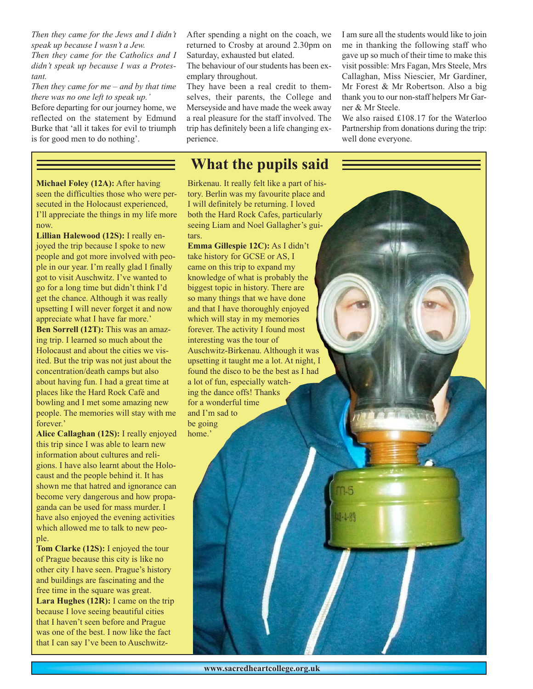*Then they came for the Jews and I didn't speak up because I wasn't a Jew. Then they came for the Catholics and I didn't speak up because I was a Protestant.*

#### *Then they came for me – and by that time there was no one left to speak up.'*

Before departing for our journey home, we reflected on the statement by Edmund Burke that 'all it takes for evil to triumph is for good men to do nothing'.

After spending a night on the coach, we returned to Crosby at around 2.30pm on Saturday, exhausted but elated.

The behaviour of our students has been exemplary throughout.

They have been a real credit to themselves, their parents, the College and Merseyside and have made the week away a real pleasure for the staff involved. The trip has definitely been a life changing experience.

### **What the pupils said**

Birkenau. It really felt like a part of history. Berlin was my favourite place and I will definitely be returning. I loved both the Hard Rock Cafes, particularly seeing Liam and Noel Gallagher's guitars.

**Emma Gillespie 12C):** As I didn't take history for GCSE or AS, I came on this trip to expand my knowledge of what is probably the biggest topic in history. There are so many things that we have done and that I have thoroughly enjoyed which will stay in my memories forever. The activity I found most interesting was the tour of Auschwitz-Birkenau. Although it was upsetting it taught me a lot. At night, I found the disco to be the best as I had a lot of fun, especially watching the dance offs! Thanks for a wonderful time and I'm sad to be going home.'

I am sure all the students would like to join me in thanking the following staff who gave up so much of their time to make this visit possible: Mrs Fagan, Mrs Steele, Mrs Callaghan, Miss Niescier, Mr Gardiner, Mr Forest & Mr Robertson. Also a big thank you to our non-staff helpers Mr Garner & Mr Steele.

We also raised £108.17 for the Waterloo Partnership from donations during the trip: well done everyone.

**Michael Foley (12A):** After having seen the difficulties those who were persecuted in the Holocaust experienced, I'll appreciate the things in my life more now.

**Lillian Halewood (12S):** I really enjoyed the trip because I spoke to new people and got more involved with people in our year. I'm really glad I finally got to visit Auschwitz. I've wanted to go for a long time but didn't think I'd get the chance. Although it was really upsetting I will never forget it and now appreciate what I have far more.' **Ben Sorrell (12T):** This was an amazing trip. I learned so much about the Holocaust and about the cities we visited. But the trip was not just about the concentration/death camps but also about having fun. I had a great time at places like the Hard Rock Café and bowling and I met some amazing new people. The memories will stay with me forever<sup>'</sup>

**Alice Callaghan (12S):** I really enjoyed this trip since I was able to learn new information about cultures and religions. I have also learnt about the Holocaust and the people behind it. It has shown me that hatred and ignorance can become very dangerous and how propaganda can be used for mass murder. I have also enjoyed the evening activities which allowed me to talk to new people.

**Tom Clarke (12S):** I enjoyed the tour of Prague because this city is like no other city I have seen. Prague's history and buildings are fascinating and the free time in the square was great. **Lara Hughes (12R):** I came on the trip because I love seeing beautiful cities that I haven't seen before and Prague was one of the best. I now like the fact that I can say I've been to Auschwitz $18 - 1 - 8$